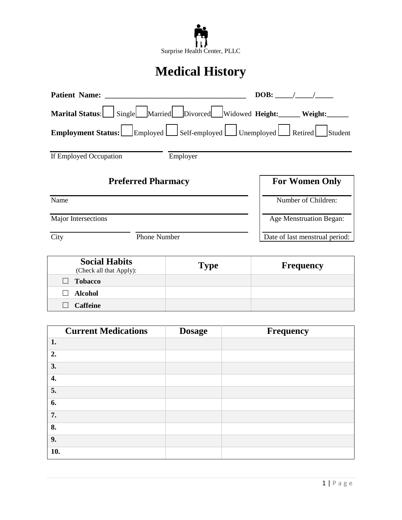

# **Medical History**

| <b>Patient Name:</b>   |                                                                     | DOB:                           |
|------------------------|---------------------------------------------------------------------|--------------------------------|
| Marital Status:        | Single Married Divorced Widowed Height: Weight:                     |                                |
|                        | <b>Employment Status:</b> Employed Self-employed Unemployed Retired | Student                        |
| If Employed Occupation | Employer                                                            |                                |
|                        | <b>Preferred Pharmacy</b>                                           | <b>For Women Only</b>          |
| Name                   |                                                                     | Number of Children:            |
| Major Intersections    |                                                                     | Age Menstruation Began:        |
| City                   | <b>Phone Number</b>                                                 | Date of last menstrual period: |

| <b>Social Habits</b><br>(Check all that Apply): | <b>Type</b> | <b>Frequency</b> |
|-------------------------------------------------|-------------|------------------|
| <b>Tobacco</b><br>$\perp$                       |             |                  |
| Alcohol<br>$\mathsf{L}$                         |             |                  |
| <b>Caffeine</b><br>$\Box$                       |             |                  |

|     | <b>Current Medications</b> | <b>Dosage</b> | <b>Frequency</b> |
|-----|----------------------------|---------------|------------------|
| 1.  |                            |               |                  |
| 2.  |                            |               |                  |
| 3.  |                            |               |                  |
| 4.  |                            |               |                  |
| 5.  |                            |               |                  |
| 6.  |                            |               |                  |
| 7.  |                            |               |                  |
| 8.  |                            |               |                  |
| 9.  |                            |               |                  |
| 10. |                            |               |                  |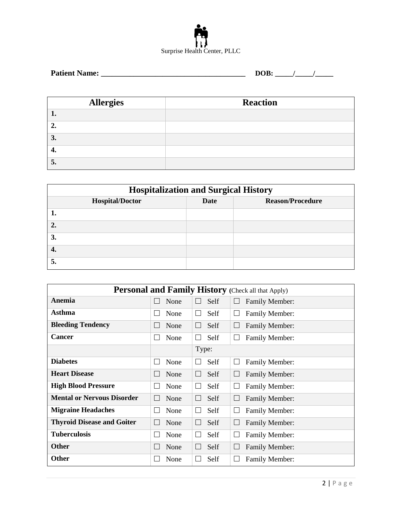

| <b>Patient Name:</b> | M |
|----------------------|---|
|----------------------|---|

| <b>Allergies</b> | <b>Reaction</b> |
|------------------|-----------------|
|                  |                 |
| ∸∙               |                 |
| 3.               |                 |
| т.               |                 |
| J.               |                 |

| <b>Hospitalization and Surgical History</b>                      |  |  |  |  |  |
|------------------------------------------------------------------|--|--|--|--|--|
| <b>Hospital/Doctor</b><br><b>Date</b><br><b>Reason/Procedure</b> |  |  |  |  |  |
|                                                                  |  |  |  |  |  |
| $\mathbf{\hat{z}}$                                               |  |  |  |  |  |
| 3.                                                               |  |  |  |  |  |
|                                                                  |  |  |  |  |  |
|                                                                  |  |  |  |  |  |

| <b>Personal and Family History</b> (Check all that Apply) |              |                      |                       |  |
|-----------------------------------------------------------|--------------|----------------------|-----------------------|--|
| Anemia                                                    | None         | Self                 | <b>Family Member:</b> |  |
|                                                           | $\mathbf{L}$ | $\Box$               | $\Box$                |  |
| Asthma                                                    | None         | Self                 | <b>Family Member:</b> |  |
|                                                           | $\mathbf{L}$ | $\Box$               | ш                     |  |
| <b>Bleeding Tendency</b>                                  | None         | Self                 | <b>Family Member:</b> |  |
|                                                           | $\mathbf{L}$ | $\perp$              | $\Box$                |  |
| <b>Cancer</b>                                             | None         | Self                 | Family Member:        |  |
|                                                           | $\mathbf{L}$ | $\mathbf{L}$         | Ш                     |  |
|                                                           |              | Type:                |                       |  |
| <b>Diabetes</b>                                           | None         | Self                 | <b>Family Member:</b> |  |
|                                                           | $\mathbf{L}$ | $\mathbf{L}$         | ⊔                     |  |
| <b>Heart Disease</b>                                      | None         | Self                 | <b>Family Member:</b> |  |
|                                                           | $\mathbf{L}$ | $\Box$               | $\perp$               |  |
| <b>High Blood Pressure</b>                                | None         | Self                 | <b>Family Member:</b> |  |
|                                                           | $\mathbf{L}$ | $\perp$              | $\Box$                |  |
| <b>Mental or Nervous Disorder</b>                         | None         | Self                 | <b>Family Member:</b> |  |
|                                                           | $\mathbf{L}$ | ш                    | $\Box$                |  |
| <b>Migraine Headaches</b>                                 | None         | Self                 | <b>Family Member:</b> |  |
|                                                           | $\mathbf{L}$ | Ш                    | ⊔                     |  |
| <b>Thyroid Disease and Goiter</b>                         | None         | Self                 | <b>Family Member:</b> |  |
|                                                           | $\mathbf{L}$ | Ш                    | $\Box$                |  |
| <b>Tuberculosis</b>                                       | None         | Self                 | <b>Family Member:</b> |  |
|                                                           | $\mathbf{L}$ | $\mathbf{L}$         | $\Box$                |  |
| <b>Other</b>                                              | None         | Self                 | <b>Family Member:</b> |  |
|                                                           | $\mathbf{L}$ | $\Box$               | $\Box$                |  |
| <b>Other</b>                                              | None         | Self<br>$\mathbf{L}$ | <b>Family Member:</b> |  |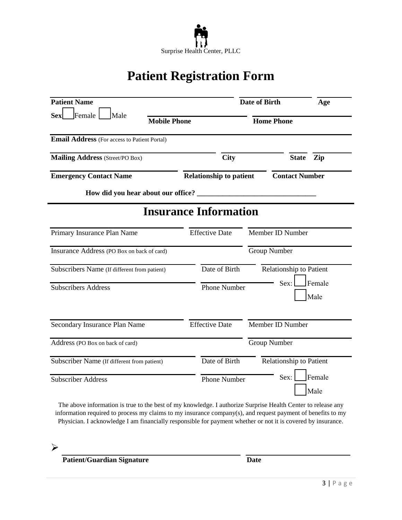

# **Patient Registration Form**

| <b>Patient Name</b>                                 |                                | <b>Date of Birth</b>                          | Age                     |
|-----------------------------------------------------|--------------------------------|-----------------------------------------------|-------------------------|
| Female<br>Male<br><b>Sex</b><br><b>Mobile Phone</b> |                                | <b>Home Phone</b>                             |                         |
| Email Address (For access to Patient Portal)        |                                |                                               |                         |
| <b>Mailing Address</b> (Street/PO Box)              | <b>City</b>                    |                                               | Zip<br><b>State</b>     |
| <b>Emergency Contact Name</b>                       | <b>Relationship to patient</b> |                                               | <b>Contact Number</b>   |
|                                                     |                                |                                               |                         |
|                                                     | <b>Insurance Information</b>   |                                               |                         |
| Primary Insurance Plan Name                         | <b>Effective Date</b>          | Member ID Number                              |                         |
| Insurance Address (PO Box on back of card)          |                                | <b>Group Number</b>                           |                         |
| Subscribers Name (If different from patient)        | Date of Birth                  |                                               | Relationship to Patient |
| <b>Subscribers Address</b>                          | <b>Phone Number</b>            | Sex:                                          | Female<br>Male          |
| Secondary Insurance Plan Name                       | <b>Effective Date</b>          | Member ID Number                              |                         |
| Address (PO Box on back of card)                    |                                | <b>Group Number</b>                           |                         |
| Subscriber Name (If different from patient)         | Date of Birth                  |                                               | Relationship to Patient |
| <b>Subscriber Address</b>                           |                                | Female<br>Sex:<br><b>Phone Number</b><br>Male |                         |

The above information is true to the best of my knowledge. I authorize Surprise Health Center to release any information required to process my claims to my insurance company(s), and request payment of benefits to my Physician. I acknowledge I am financially responsible for payment whether or not it is covered by insurance.

 $\blacktriangleright$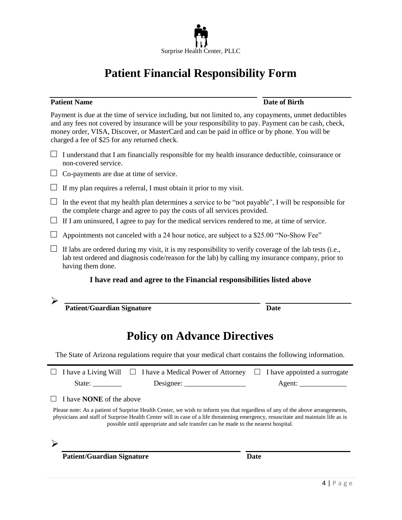

# **Patient Financial Responsibility Form**

#### **Patient Name Date of Birth**

Payment is due at the time of service including, but not limited to, any copayments, unmet deductibles and any fees not covered by insurance will be your responsibility to pay. Payment can be cash, check, money order, VISA, Discover, or MasterCard and can be paid in office or by phone. You will be charged a fee of \$25 for any returned check.

- $\Box$  I understand that I am financially responsible for my health insurance deductible, coinsurance or non-covered service.
- $\Box$  Co-payments are due at time of service.
- $\Box$  If my plan requires a referral, I must obtain it prior to my visit.
- $\Box$  In the event that my health plan determines a service to be "not payable", I will be responsible for the complete charge and agree to pay the costs of all services provided.
- $\Box$  If I am uninsured, I agree to pay for the medical services rendered to me, at time of service.
- $\Box$  Appointments not canceled with a 24 hour notice, are subject to a \$25.00 "No-Show Fee"
- $\Box$  If labs are ordered during my visit, it is my responsibility to verify coverage of the lab tests (i.e., lab test ordered and diagnosis code/reason for the lab) by calling my insurance company, prior to having them done.

#### **I have read and agree to the Financial responsibilities listed above**

 $\blacktriangleright$ 

**Patient/Guardian Signature Date** 

### **Policy on Advance Directives**

The State of Arizona regulations require that your medical chart contains the following information.

|                                                                                                                                                                                                                                                                                                                                                       | I have a Living Will $\Box$ I have a Medical Power of Attorney | $\Box$ I have appointed a surrogate |  |  |
|-------------------------------------------------------------------------------------------------------------------------------------------------------------------------------------------------------------------------------------------------------------------------------------------------------------------------------------------------------|----------------------------------------------------------------|-------------------------------------|--|--|
| State:                                                                                                                                                                                                                                                                                                                                                | Designec:                                                      | Agent:                              |  |  |
| $\Box$ I have <b>NONE</b> of the above                                                                                                                                                                                                                                                                                                                |                                                                |                                     |  |  |
| Please note: As a patient of Surprise Health Center, we wish to inform you that regardless of any of the above arrangements,<br>physicians and staff of Surprise Health Center will in case of a life threatening emergency, resuscitate and maintain life as is<br>possible until appropriate and safe transfer can be made to the nearest hospital. |                                                                |                                     |  |  |
|                                                                                                                                                                                                                                                                                                                                                       |                                                                |                                     |  |  |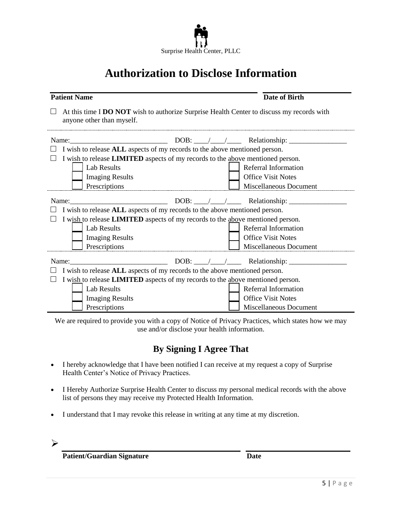

# **Authorization to Disclose Information**

#### **Patient Name Date of Birth**

□ At this time I **DO NOT** wish to authorize Surprise Health Center to discuss my records with anyone other than myself.

| Name:                                                                                 |  |  | DOB: $\_\_\_\_\_\_\_\_\$ Relationship: $\_\_\_\_\_\$ |
|---------------------------------------------------------------------------------------|--|--|------------------------------------------------------|
| I wish to release ALL aspects of my records to the above mentioned person.            |  |  |                                                      |
| I wish to release LIMITED aspects of my records to the above mentioned person.        |  |  |                                                      |
| <b>Lab Results</b>                                                                    |  |  | Referral Information                                 |
| <b>Imaging Results</b>                                                                |  |  | <b>Office Visit Notes</b>                            |
| Prescriptions                                                                         |  |  | Miscellaneous Document                               |
| Name:                                                                                 |  |  |                                                      |
| I wish to release ALL aspects of my records to the above mentioned person.            |  |  |                                                      |
| I wish to release <b>LIMITED</b> aspects of my records to the above mentioned person. |  |  |                                                      |
| <b>Lab Results</b>                                                                    |  |  | Referral Information                                 |
| <b>Imaging Results</b>                                                                |  |  | <b>Office Visit Notes</b>                            |
| Prescriptions                                                                         |  |  | Miscellaneous Document                               |
| Name:                                                                                 |  |  | $DOB:$ $\angle$ / Relationship:                      |
| I wish to release <b>ALL</b> aspects of my records to the above mentioned person.     |  |  |                                                      |
| I wish to release LIMITED aspects of my records to the above mentioned person.        |  |  |                                                      |
| <b>Lab Results</b>                                                                    |  |  | Referral Information                                 |
| <b>Imaging Results</b>                                                                |  |  | <b>Office Visit Notes</b>                            |
| Prescriptions                                                                         |  |  | Miscellaneous Document                               |

We are required to provide you with a copy of Notice of Privacy Practices, which states how we may use and/or disclose your health information.

### **By Signing I Agree That**

- I hereby acknowledge that I have been notified I can receive at my request a copy of Surprise Health Center's Notice of Privacy Practices.
- I Hereby Authorize Surprise Health Center to discuss my personal medical records with the above list of persons they may receive my Protected Health Information.
- I understand that I may revoke this release in writing at any time at my discretion.

 $\blacktriangleright$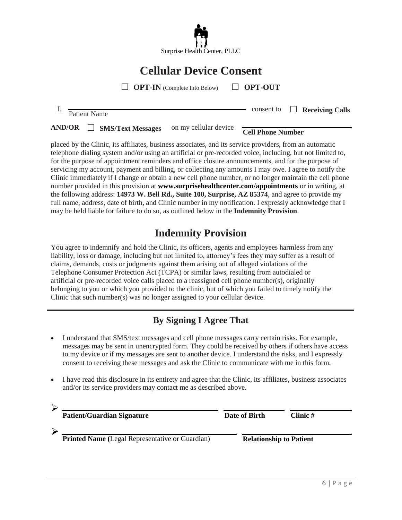

# **Cellular Device Consent**

□ **OPT-IN** (Complete Info Below) □ **OPT-OUT**

I, Patient Name consent to □ **Receiving Calls**

**AND/OR** □ **SMS/Text Messages** on my cellular device **Cell Phone Number**

placed by the Clinic, its affiliates, business associates, and its service providers, from an automatic telephone dialing system and/or using an artificial or pre-recorded voice, including, but not limited to, for the purpose of appointment reminders and office closure announcements, and for the purpose of servicing my account, payment and billing, or collecting any amounts I may owe. I agree to notify the Clinic immediately if I change or obtain a new cell phone number, or no longer maintain the cell phone number provided in this provision at **[www.surprisehealthcenter.com/appointments](http://www.surprisehealthcenter.com/appointments)** or in writing, at the following address: **14973 W. Bell Rd., Suite 100, Surprise, AZ 85374**, and agree to provide my full name, address, date of birth, and Clinic number in my notification. I expressly acknowledge that I may be held liable for failure to do so, as outlined below in the **Indemnity Provision**.

### **Indemnity Provision**

You agree to indemnify and hold the Clinic, its officers, agents and employees harmless from any liability, loss or damage, including but not limited to, attorney's fees they may suffer as a result of claims, demands, costs or judgments against them arising out of alleged violations of the Telephone Consumer Protection Act (TCPA) or similar laws, resulting from autodialed or artificial or pre-recorded voice calls placed to a reassigned cell phone number(s), originally belonging to you or which you provided to the clinic, but of which you failed to timely notify the Clinic that such number(s) was no longer assigned to your cellular device.

### **By Signing I Agree That**

- I understand that SMS/text messages and cell phone messages carry certain risks. For example, messages may be sent in unencrypted form. They could be received by others if others have access to my device or if my messages are sent to another device. I understand the risks, and I expressly consent to receiving these messages and ask the Clinic to communicate with me in this form.
- I have read this disclosure in its entirety and agree that the Clinic, its affiliates, business associates and/or its service providers may contact me as described above.

| <b>Patient/Guardian Signature</b>                      | Date of Birth                  | Clinic $#$ |
|--------------------------------------------------------|--------------------------------|------------|
| <b>Printed Name</b> (Legal Representative or Guardian) | <b>Relationship to Patient</b> |            |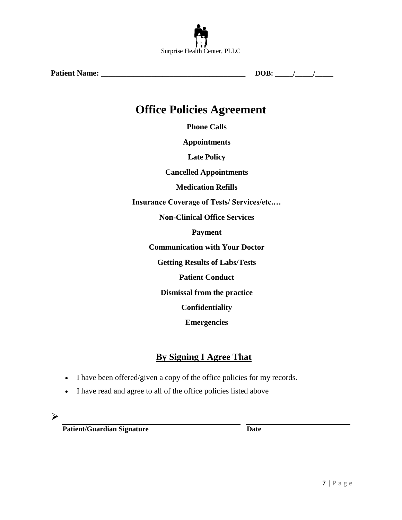

**Patient Name: \_\_\_\_\_\_\_\_\_\_\_\_\_\_\_\_\_\_\_\_\_\_\_\_\_\_\_\_\_\_\_\_\_\_\_\_\_\_\_\_ DOB: \_\_\_\_\_/\_\_\_\_\_/\_\_\_\_\_**

### **Office Policies Agreement**

**Phone Calls** 

**Appointments** 

**Late Policy** 

**Cancelled Appointments** 

**Medication Refills** 

**Insurance Coverage of Tests/ Services/etc.…**

**Non-Clinical Office Services** 

**Payment** 

**Communication with Your Doctor** 

**Getting Results of Labs/Tests** 

**Patient Conduct** 

**Dismissal from the practice** 

**Confidentiality** 

**Emergencies** 

### **By Signing I Agree That**

- I have been offered/given a copy of the office policies for my records.
- I have read and agree to all of the office policies listed above
- $\blacktriangleright$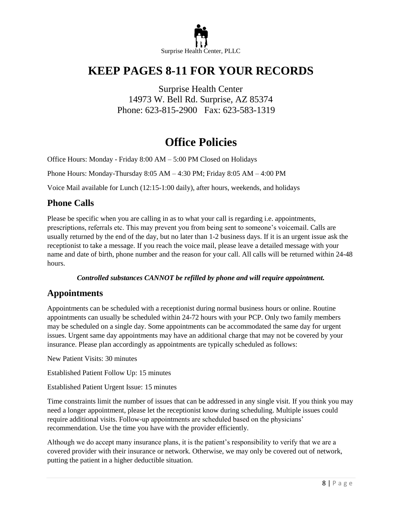

## **KEEP PAGES 8-11 FOR YOUR RECORDS**

Surprise Health Center 14973 W. Bell Rd. Surprise, AZ 85374 Phone: 623-815-2900 Fax: 623-583-1319

### **Office Policies**

Office Hours: Monday - Friday 8:00 AM – 5:00 PM Closed on Holidays

Phone Hours: Monday-Thursday 8:05 AM – 4:30 PM; Friday 8:05 AM – 4:00 PM

Voice Mail available for Lunch (12:15-1:00 daily), after hours, weekends, and holidays

#### **Phone Calls**

Please be specific when you are calling in as to what your call is regarding i.e. appointments, prescriptions, referrals etc. This may prevent you from being sent to someone's voicemail. Calls are usually returned by the end of the day, but no later than 1-2 business days. If it is an urgent issue ask the receptionist to take a message. If you reach the voice mail, please leave a detailed message with your name and date of birth, phone number and the reason for your call. All calls will be returned within 24-48 hours.

#### *Controlled substances CANNOT be refilled by phone and will require appointment.*

#### **Appointments**

Appointments can be scheduled with a receptionist during normal business hours or online. Routine appointments can usually be scheduled within 24-72 hours with your PCP. Only two family members may be scheduled on a single day. Some appointments can be accommodated the same day for urgent issues. Urgent same day appointments may have an additional charge that may not be covered by your insurance. Please plan accordingly as appointments are typically scheduled as follows:

New Patient Visits: 30 minutes

Established Patient Follow Up: 15 minutes

Established Patient Urgent Issue: 15 minutes

Time constraints limit the number of issues that can be addressed in any single visit. If you think you may need a longer appointment, please let the receptionist know during scheduling. Multiple issues could require additional visits. Follow-up appointments are scheduled based on the physicians' recommendation. Use the time you have with the provider efficiently.

Although we do accept many insurance plans, it is the patient's responsibility to verify that we are a covered provider with their insurance or network. Otherwise, we may only be covered out of network, putting the patient in a higher deductible situation.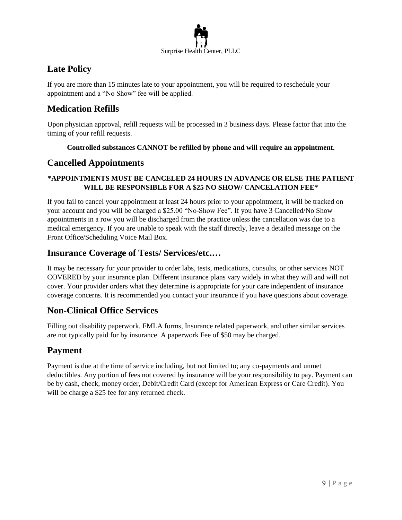

### **Late Policy**

If you are more than 15 minutes late to your appointment, you will be required to reschedule your appointment and a "No Show" fee will be applied.

#### **Medication Refills**

Upon physician approval, refill requests will be processed in 3 business days. Please factor that into the timing of your refill requests.

#### **Controlled substances CANNOT be refilled by phone and will require an appointment.**

#### **Cancelled Appointments**

#### **\*APPOINTMENTS MUST BE CANCELED 24 HOURS IN ADVANCE OR ELSE THE PATIENT WILL BE RESPONSIBLE FOR A \$25 NO SHOW/ CANCELATION FEE\***

If you fail to cancel your appointment at least 24 hours prior to your appointment, it will be tracked on your account and you will be charged a \$25.00 "No-Show Fee". If you have 3 Cancelled/No Show appointments in a row you will be discharged from the practice unless the cancellation was due to a medical emergency. If you are unable to speak with the staff directly, leave a detailed message on the Front Office/Scheduling Voice Mail Box.

#### **Insurance Coverage of Tests/ Services/etc.…**

It may be necessary for your provider to order labs, tests, medications, consults, or other services NOT COVERED by your insurance plan. Different insurance plans vary widely in what they will and will not cover. Your provider orders what they determine is appropriate for your care independent of insurance coverage concerns. It is recommended you contact your insurance if you have questions about coverage.

#### **Non-Clinical Office Services**

Filling out disability paperwork, FMLA forms, Insurance related paperwork, and other similar services are not typically paid for by insurance. A paperwork Fee of \$50 may be charged.

#### **Payment**

Payment is due at the time of service including, but not limited to; any co-payments and unmet deductibles. Any portion of fees not covered by insurance will be your responsibility to pay. Payment can be by cash, check, money order, Debit/Credit Card (except for American Express or Care Credit). You will be charge a \$25 fee for any returned check.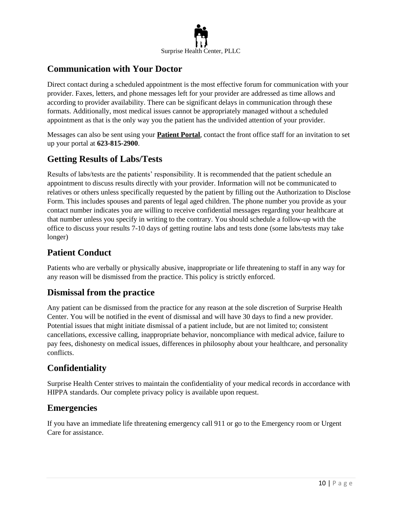

#### **Communication with Your Doctor**

Direct contact during a scheduled appointment is the most effective forum for communication with your provider. Faxes, letters, and phone messages left for your provider are addressed as time allows and according to provider availability. There can be significant delays in communication through these formats. Additionally, most medical issues cannot be appropriately managed without a scheduled appointment as that is the only way you the patient has the undivided attention of your provider.

Messages can also be sent using your **Patient Portal**, contact the front office staff for an invitation to set up your portal at **623-815-2900**.

#### **Getting Results of Labs/Tests**

Results of labs/tests are the patients' responsibility. It is recommended that the patient schedule an appointment to discuss results directly with your provider. Information will not be communicated to relatives or others unless specifically requested by the patient by filling out the Authorization to Disclose Form. This includes spouses and parents of legal aged children. The phone number you provide as your contact number indicates you are willing to receive confidential messages regarding your healthcare at that number unless you specify in writing to the contrary. You should schedule a follow-up with the office to discuss your results 7-10 days of getting routine labs and tests done (some labs/tests may take longer)

#### **Patient Conduct**

Patients who are verbally or physically abusive, inappropriate or life threatening to staff in any way for any reason will be dismissed from the practice. This policy is strictly enforced.

#### **Dismissal from the practice**

Any patient can be dismissed from the practice for any reason at the sole discretion of Surprise Health Center. You will be notified in the event of dismissal and will have 30 days to find a new provider. Potential issues that might initiate dismissal of a patient include, but are not limited to; consistent cancellations, excessive calling, inappropriate behavior, noncompliance with medical advice, failure to pay fees, dishonesty on medical issues, differences in philosophy about your healthcare, and personality conflicts.

#### **Confidentiality**

Surprise Health Center strives to maintain the confidentiality of your medical records in accordance with HIPPA standards. Our complete privacy policy is available upon request.

#### **Emergencies**

If you have an immediate life threatening emergency call 911 or go to the Emergency room or Urgent Care for assistance.